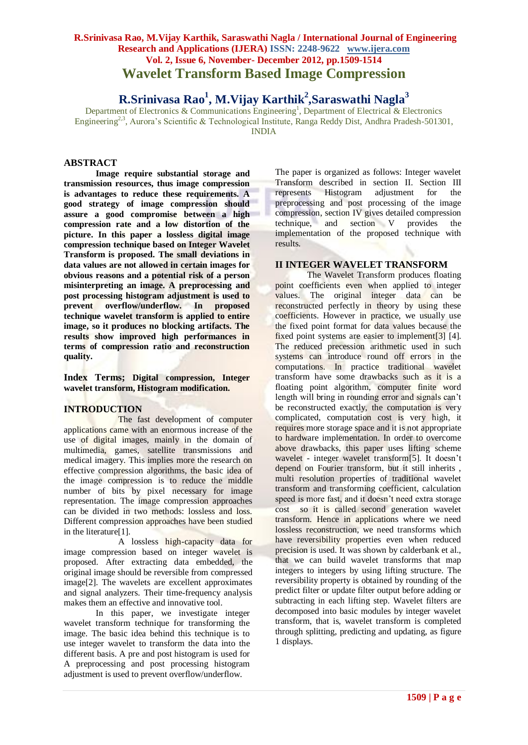**R.Srinivasa Rao<sup>1</sup> , M.Vijay Karthik<sup>2</sup> ,Saraswathi Nagla<sup>3</sup>**

Department of Electronics & Communications Engineering<sup>1</sup>, Department of Electrical & Electronics Engineering<sup>2,3</sup>, Aurora's Scientific & Technological Institute, Ranga Reddy Dist, Andhra Pradesh-501301, INDIA

## **ABSTRACT**

**Image require substantial storage and transmission resources, thus image compression is advantages to reduce these requirements. A good strategy of image compression should assure a good compromise between a high compression rate and a low distortion of the picture. In this paper a lossless digital image compression technique based on Integer Wavelet Transform is proposed. The small deviations in data values are not allowed in certain images for obvious reasons and a potential risk of a person misinterpreting an image. A preprocessing and post processing histogram adjustment is used to prevent overflow/underflow. In proposed technique wavelet transform is applied to entire image, so it produces no blocking artifacts. The results show improved high performances in terms of compression ratio and reconstruction quality.**

**Index Terms; Digital compression, Integer wavelet transform, Histogram modification.**

# **INTRODUCTION**

The fast development of computer applications came with an enormous increase of the use of digital images, mainly in the domain of multimedia, games, satellite transmissions and medical imagery. This implies more the research on effective compression algorithms, the basic idea of the image compression is to reduce the middle number of bits by pixel necessary for image representation. The image compression approaches can be divided in two methods: lossless and loss. Different compression approaches have been studied in the literature[1].

A lossless high-capacity data for image compression based on integer wavelet is proposed. After extracting data embedded, the original image should be reversible from compressed image[2]. The wavelets are excellent approximates and signal analyzers. Their time-frequency analysis makes them an effective and innovative tool.

In this paper, we investigate integer wavelet transform technique for transforming the image. The basic idea behind this technique is to use integer wavelet to transform the data into the different basis. A pre and post histogram is used for A preprocessing and post processing histogram adjustment is used to prevent overflow/underflow.

The paper is organized as follows: Integer wavelet Transform described in section II. Section III represents Histogram adjustment for the preprocessing and post processing of the image compression, section IV gives detailed compression technique, and section V provides the implementation of the proposed technique with results.

# **II INTEGER WAVELET TRANSFORM**

The Wavelet Transform produces floating point coefficients even when applied to integer values. The original integer data can be reconstructed perfectly in theory by using these coefficients. However in practice, we usually use the fixed point format for data values because the fixed point systems are easier to implement[3] [4]. The reduced precession arithmetic used in such systems can introduce round off errors in the computations. In practice traditional wavelet transform have some drawbacks such as it is a floating point algorithm, computer finite word length will bring in rounding error and signals can't be reconstructed exactly, the computation is very complicated, computation cost is very high, it requires more storage space and it is not appropriate to hardware implementation. In order to overcome above drawbacks, this paper uses lifting scheme wavelet - integer wavelet transform[5]. It doesn't depend on Fourier transform, but it still inherits , multi resolution properties of traditional wavelet transform and transforming coefficient, calculation speed is more fast, and it doesn't need extra storage cost so it is called second generation wavelet transform. Hence in applications where we need lossless reconstruction, we need transforms which have reversibility properties even when reduced precision is used. It was shown by calderbank et al., that we can build wavelet transforms that map integers to integers by using lifting structure. The reversibility property is obtained by rounding of the predict filter or update filter output before adding or subtracting in each lifting step. Wavelet filters are decomposed into basic modules by integer wavelet transform, that is, wavelet transform is completed through splitting, predicting and updating, as figure 1 displays.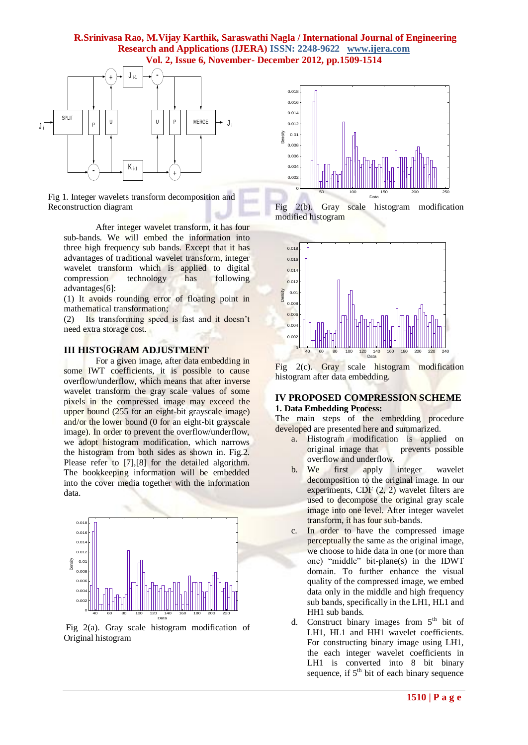

Fig 1. Integer wavelets transform decomposition and Reconstruction diagram

After integer wavelet transform, it has four sub-bands. We will embed the information into three high frequency sub bands. Except that it has advantages of traditional wavelet transform, integer wavelet transform which is applied to digital compression technology has following advantages[6]:

(1) It avoids rounding error of floating point in mathematical transformation;

(2) Its transforming speed is fast and it doesn"t need extra storage cost.

#### **III HISTOGRAM ADJUSTMENT**

For a given image, after data embedding in some IWT coefficients, it is possible to cause overflow/underflow, which means that after inverse wavelet transform the gray scale values of some pixels in the compressed image may exceed the upper bound (255 for an eight-bit grayscale image) and/or the lower bound (0 for an eight-bit grayscale image). In order to prevent the overflow/underflow, we adopt histogram modification, which narrows the histogram from both sides as shown in. Fig.2. Please refer to [7], [8] for the detailed algorithm. The bookkeeping information will be embedded into the cover media together with the information data.



Fig 2(a). Gray scale histogram modification of Original histogram



Fig 2(b). Gray scale histogram modification modified histogram



Fig 2(c). Gray scale histogram modification histogram after data embedding.

#### **IV PROPOSED COMPRESSION SCHEME 1. Data Embedding Process:**

The main steps of the embedding procedure developed are presented here and summarized.

- a. Histogram modification is applied on original image that prevents possible overflow and underflow.
- b. We first apply integer wavelet decomposition to the original image. In our experiments, CDF (2, 2) wavelet filters are used to decompose the original gray scale image into one level. After integer wavelet transform, it has four sub-bands.
- c. In order to have the compressed image perceptually the same as the original image, we choose to hide data in one (or more than one) "middle" bit-plane(s) in the IDWT domain. To further enhance the visual quality of the compressed image, we embed data only in the middle and high frequency sub bands, specifically in the LH1, HL1 and HH1 sub bands.
- d. Construct binary images from  $5<sup>th</sup>$  bit of LH1, HL1 and HH1 wavelet coefficients. For constructing binary image using LH1, the each integer wavelet coefficients in LH1 is converted into 8 bit binary sequence, if  $5<sup>th</sup>$  bit of each binary sequence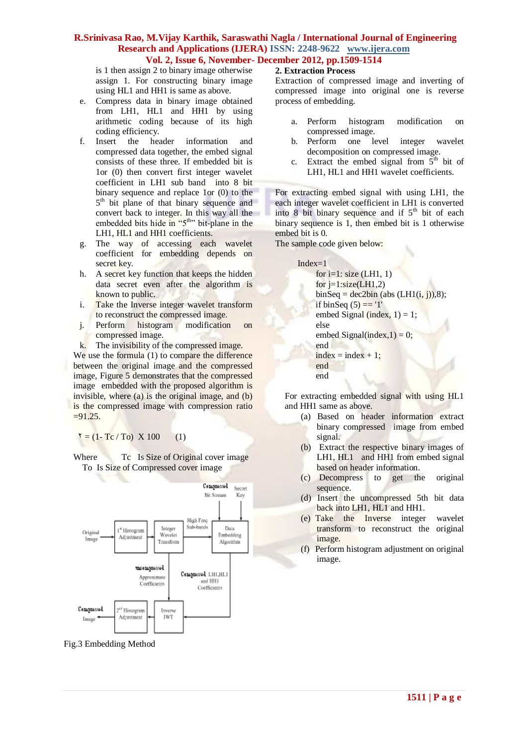is 1 then assign 2 to binary image otherwise assign 1. For constructing binary image using HL1 and HH1 is same as above.

- e. Compress data in binary image obtained from LH1, HL1 and HH1 by using arithmetic coding because of its high coding efficiency.
- f. Insert the header information and compressed data together, the embed signal consists of these three. If embedded bit is 1or (0) then convert first integer wavelet coefficient in LH1 sub band into 8 bit binary sequence and replace 1or (0) to the 5<sup>th</sup> bit plane of that binary sequence and convert back to integer. In this way all the embedded bits hide in "5<sup>th</sup>" bit-plane in the LH1, HL1 and HH1 coefficients.
- g. The way of accessing each wavelet coefficient for embedding depends on secret key.
- h. A secret key function that keeps the hidden data secret even after the algorithm is known to public.
- i. Take the Inverse integer wavelet transform to reconstruct the compressed image.
- j. Perform histogram modification on compressed image.
- k. The invisibility of the compressed image.

We use the formula (1) to compare the difference between the original image and the compressed image, Figure 5 demonstrates that the compressed image embedded with the proposed algorithm is invisible, where (a) is the original image, and (b) is the compressed image with compression ratio  $=91.25.$ 

 $Y = (1 - Tc / To) X 100$  (1)

Where Tc Is Size of Original cover image To Is Size of Compressed cover image



Fig.3 Embedding Method

#### **2. Extraction Process**

Extraction of compressed image and inverting of compressed image into original one is reverse process of embedding.

- a. Perform histogram modification on compressed image.
- b. Perform one level integer wavelet decomposition on compressed image.
- c. Extract the embed signal from  $5<sup>th</sup>$  bit of LH1, HL1 and HH1 wavelet coefficients.

For extracting embed signal with using LH1, the each integer wavelet coefficient in LH1 is converted into  $8$  bit binary sequence and if  $5<sup>th</sup>$  bit of each binary sequence is 1, then embed bit is 1 otherwise embed bit is 0.

The sample code given below:



For extracting embedded signal with using HL1 and HH1 same as above.

- (a) Based on header information extract binary compressed image from embed signal.
- (b) Extract the respective binary images of LH1, HL1 and HH1 from embed signal based on header information.
- (c) Decompress to get the original sequence.
- (d) Insert the uncompressed 5th bit data back into LH1, HL1 and HH1.
- (e) Take the Inverse integer wavelet transform to reconstruct the original image.
- (f) Perform histogram adjustment on original image.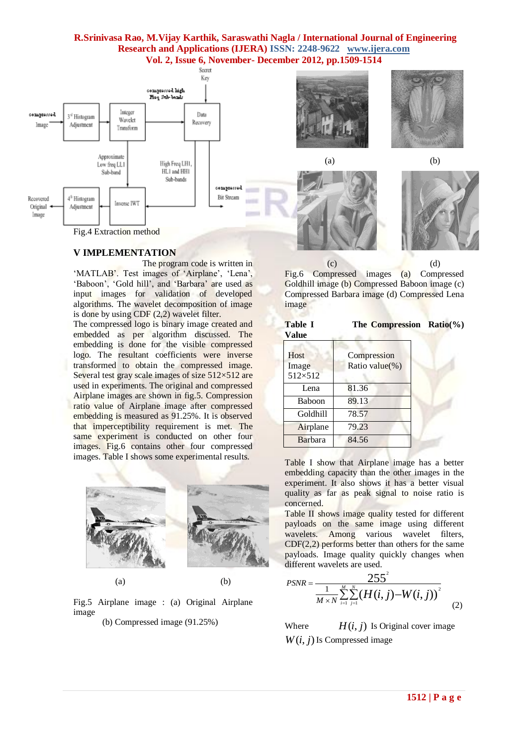

#### **V IMPLEMENTATION**

The program code is written in 'MATLAB'. Test images of 'Airplane', 'Lena', 'Baboon', 'Gold hill', and 'Barbara' are used as input images for validation of developed algorithms. The wavelet decomposition of image is done by using CDF (2,2) wavelet filter.

The compressed logo is binary image created and embedded as per algorithm discussed. The embedding is done for the visible compressed logo. The resultant coefficients were inverse transformed to obtain the compressed image. Several test gray scale images of size  $512\times512$  are used in experiments. The original and compressed Airplane images are shown in fig.5. Compression ratio value of Airplane image after compressed embedding is measured as 91.25%. It is observed that imperceptibility requirement is met. The same experiment is conducted on other four images. Fig.6 contains other four compressed images. Table I shows some experimental results.



Fig.5 Airplane image : (a) Original Airplane image

(b) Compressed image (91.25%)





| <b>Table I</b><br>Value  | The Compression Ratio(%)      |  |
|--------------------------|-------------------------------|--|
| Host<br>Image<br>512×512 | Compression<br>Ratio value(%) |  |
| Lena                     | 81.36                         |  |
| Baboon                   | 89.13                         |  |
| Goldhill                 | 78.57                         |  |
| Airplane                 | 79.23                         |  |

Barbara 84.56

Table I show that Airplane image has a better embedding capacity than the other images in the experiment. It also shows it has a better visual quality as far as peak signal to noise ratio is concerned.

Table II shows image quality tested for different payloads on the same image using different wavelets. Among various wavelet filters, CDF(2,2) performs better than others for the same payloads. Image quality quickly changes when different wavelets are used.

$$
PSNR = \frac{255^{2}}{\frac{1}{M \times N} \sum_{i=1}^{M} \sum_{j=1}^{N} (H(i, j) - W(i, j))^{2}}
$$
(2)

Where  $H(i, j)$  Is Original cover image  $W(i, j)$  Is Compressed image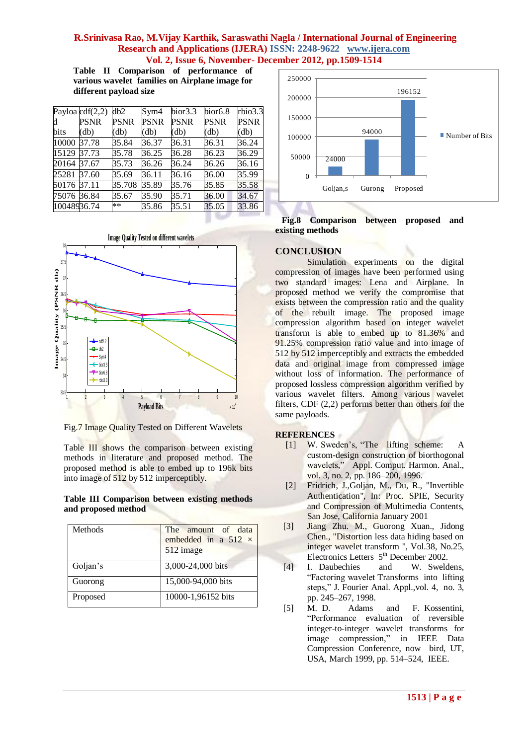**Table II Comparison of performance of various wavelet families on Airplane image for different payload size**

|             | Payloa $cdf(2,2)$ | db2           | Sym4        | bior <sub>3.3</sub> | bior <sub>6.8</sub> | rbio3.3     |
|-------------|-------------------|---------------|-------------|---------------------|---------------------|-------------|
| d           | <b>PSNR</b>       | PSNR          | <b>PSNR</b> | <b>PSNR</b>         | <b>PSNR</b>         | <b>PSNR</b> |
| bits        | (db)              | $\text{(db)}$ | (db)        | (db)                | (db)                | (db)        |
| 10000       | 37.78             | 35.84         | 36.37       | 36.31               | 36.31               | 36.24       |
| 15129       | 37.73             | 35.78         | 36.25       | 36.28               | 36.23               | 36.29       |
| 20164       | 37.67             | 35.73         | 36.26       | 36.24               | 36.26               | 36.16       |
| 25281       | 37.60             | 35.69         | 36.11       | 36.16               | 36.00               | 35.99       |
| 50176 37.11 |                   | 35.708        | 35.89       | 35.76               | 35.85               | 35.58       |
| 75076 36.84 |                   | 35.67         | 35.90       | 35.71               | 36.00               | 34.67       |
| 10048936.74 |                   | $***$         | 35.86       | 35.51               | 35.05               | 33.86       |



Fig.7 Image Quality Tested on Different Wavelets

Table III shows the comparison between existing methods in literature and proposed method. The proposed method is able to embed up to 196k bits into image of 512 by 512 imperceptibly.

#### **Table III Comparison between existing methods and proposed method**

| Methods  | The amount of data<br>embedded in a 512 $\times$<br>512 image |  |
|----------|---------------------------------------------------------------|--|
| Goljan's | 3,000-24,000 bits                                             |  |
| Guorong  | 15,000-94,000 bits                                            |  |
| Proposed | 10000-1,96152 bits                                            |  |



#### **Fig.8 Comparison between proposed and existing methods**

# **CONCLUSION**

Simulation experiments on the digital compression of images have been performed using two standard images: Lena and Airplane. In proposed method we verify the compromise that exists between the compression ratio and the quality of the rebuilt image. The proposed image compression algorithm based on integer wavelet transform is able to embed up to 81.36% and 91.25% compression ratio value and into image of 512 by 512 imperceptibly and extracts the embedded data and original image from compressed image without loss of information. The performance of proposed lossless compression algorithm verified by various wavelet filters. Among various wavelet filters, CDF (2,2) performs better than others for the same payloads.

#### **REFERENCES**

- [1] W. Sweden"s, "The lifting scheme: A custom-design construction of biorthogonal wavelets," Appl. Comput. Harmon. Anal., vol. 3, no. 2, pp. 186–200, 1996.
- [2] Fridrich, J.,Goljan, M., Du, R., "Invertible Authentication", In: Proc. SPIE, Security and Compression of Multimedia Contents, San Jose, California January 2001
- [3] Jiang Zhu. M., Guorong Xuan., Jidong Chen., "Distortion less data hiding based on integer wavelet transform ", Vol.38, No.25, Electronics Letters 5<sup>th</sup> December 2002.
- [4] I. Daubechies and W. Sweldens, "Factoring wavelet Transforms into lifting steps," J. Fourier Anal. Appl.,vol. 4, no. 3, pp. 245–267, 1998.
- [5] M. D. Adams and F. Kossentini, "Performance evaluation of reversible integer-to-integer wavelet transforms for image compression," in IEEE Data Compression Conference, now bird, UT, USA, March 1999, pp. 514–524, IEEE.